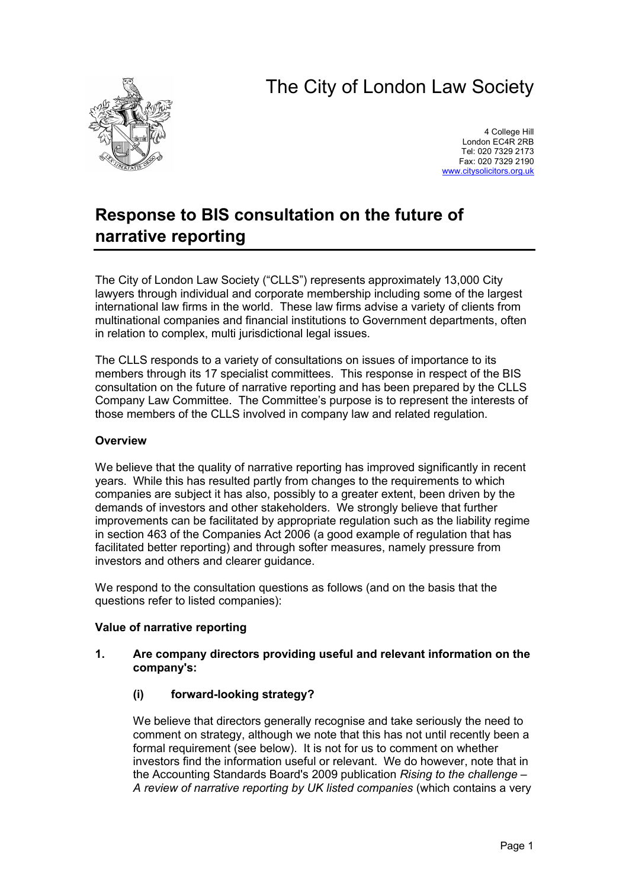# The City of London Law Society



4 College Hill London EC4R 2RB Tel: 020 7329 2173 Fax: 020 7329 2190 <www.citysolicitors.org.uk>

# **Response to BIS consultation on the future of narrative reporting**

The City of London Law Society ("CLLS") represents approximately 13,000 City lawyers through individual and corporate membership including some of the largest international law firms in the world. These law firms advise a variety of clients from multinational companies and financial institutions to Government departments, often in relation to complex, multi jurisdictional legal issues.

The CLLS responds to a variety of consultations on issues of importance to its members through its 17 specialist committees. This response in respect of the BIS consultation on the future of narrative reporting and has been prepared by the CLLS Company Law Committee. The Committee's purpose is to represent the interests of those members of the CLLS involved in company law and related regulation.

# **Overview**

We believe that the quality of narrative reporting has improved significantly in recent years. While this has resulted partly from changes to the requirements to which companies are subject it has also, possibly to a greater extent, been driven by the demands of investors and other stakeholders. We strongly believe that further improvements can be facilitated by appropriate regulation such as the liability regime in section 463 of the Companies Act 2006 (a good example of regulation that has facilitated better reporting) and through softer measures, namely pressure from investors and others and clearer guidance.

We respond to the consultation questions as follows (and on the basis that the questions refer to listed companies):

# **Value of narrative reporting**

# **1. Are company directors providing useful and relevant information on the company's:**

# **(i) forward-looking strategy?**

We believe that directors generally recognise and take seriously the need to comment on strategy, although we note that this has not until recently been a formal requirement (see below). It is not for us to comment on whether investors find the information useful or relevant. We do however, note that in the Accounting Standards Board's 2009 publication *Rising to the challenge – A review of narrative reporting by UK listed companies* (which contains a very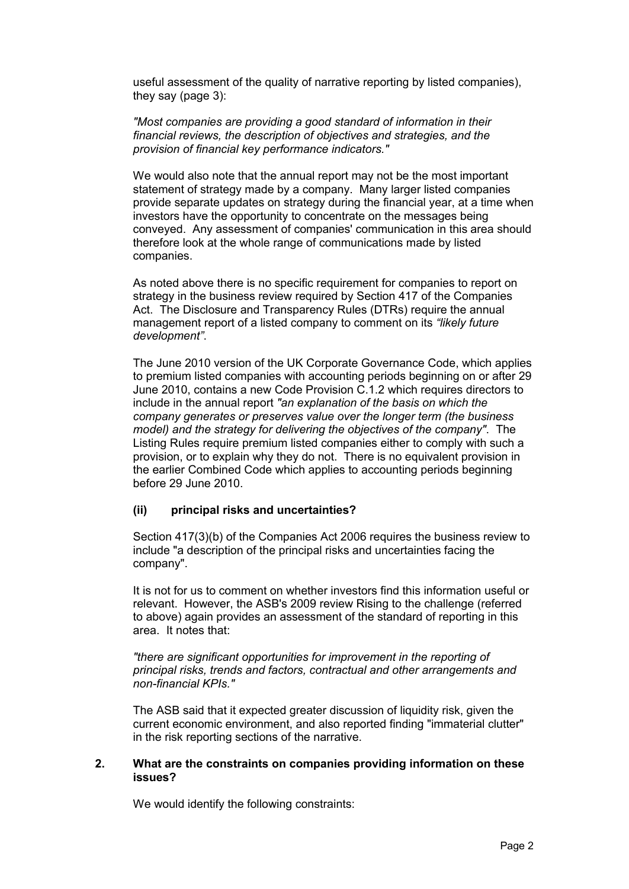useful assessment of the quality of narrative reporting by listed companies), they say (page 3):

*"Most companies are providing a good standard of information in their financial reviews, the description of objectives and strategies, and the provision of financial key performance indicators."*

We would also note that the annual report may not be the most important statement of strategy made by a company. Many larger listed companies provide separate updates on strategy during the financial year, at a time when investors have the opportunity to concentrate on the messages being conveyed. Any assessment of companies' communication in this area should therefore look at the whole range of communications made by listed companies.

As noted above there is no specific requirement for companies to report on strategy in the business review required by Section 417 of the Companies Act. The Disclosure and Transparency Rules (DTRs) require the annual management report of a listed company to comment on its *"likely future development"*.

The June 2010 version of the UK Corporate Governance Code, which applies to premium listed companies with accounting periods beginning on or after 29 June 2010, contains a new Code Provision C.1.2 which requires directors to include in the annual report *"an explanation of the basis on which the company generates or preserves value over the longer term (the business model) and the strategy for delivering the objectives of the company"*. The Listing Rules require premium listed companies either to comply with such a provision, or to explain why they do not. There is no equivalent provision in the earlier Combined Code which applies to accounting periods beginning before 29 June 2010.

#### **(ii) principal risks and uncertainties?**

Section 417(3)(b) of the Companies Act 2006 requires the business review to include "a description of the principal risks and uncertainties facing the company".

It is not for us to comment on whether investors find this information useful or relevant. However, the ASB's 2009 review Rising to the challenge (referred to above) again provides an assessment of the standard of reporting in this area. It notes that:

*"there are significant opportunities for improvement in the reporting of principal risks, trends and factors, contractual and other arrangements and non-financial KPIs."* 

The ASB said that it expected greater discussion of liquidity risk, given the current economic environment, and also reported finding "immaterial clutter" in the risk reporting sections of the narrative.

#### **2. What are the constraints on companies providing information on these issues?**

We would identify the following constraints: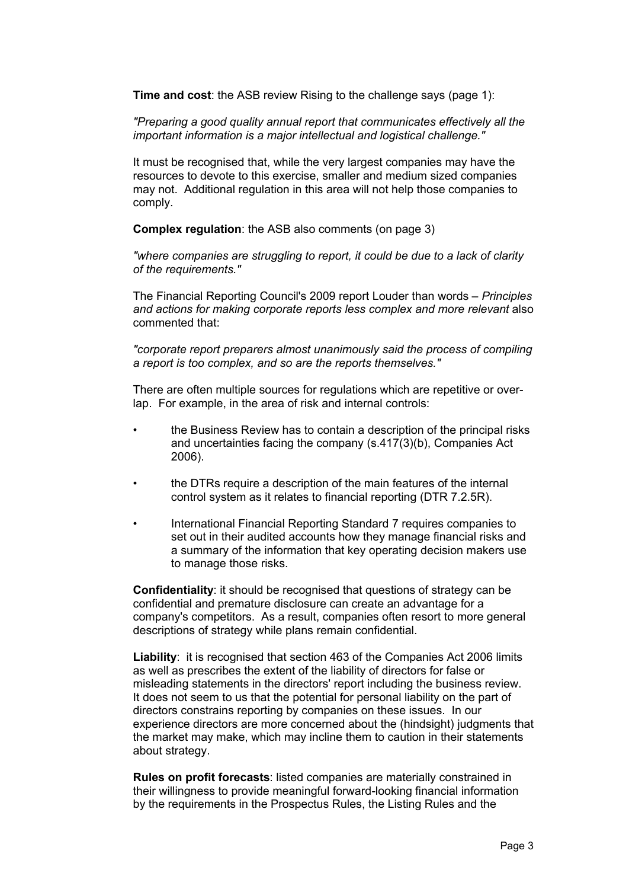**Time and cost**: the ASB review Rising to the challenge says (page 1):

*"Preparing a good quality annual report that communicates effectively all the important information is a major intellectual and logistical challenge."* 

It must be recognised that, while the very largest companies may have the resources to devote to this exercise, smaller and medium sized companies may not. Additional regulation in this area will not help those companies to comply.

**Complex regulation**: the ASB also comments (on page 3)

*"where companies are struggling to report, it could be due to a lack of clarity of the requirements."* 

The Financial Reporting Council's 2009 report Louder than words – *Principles and actions for making corporate reports less complex and more relevant* also commented that:

*"corporate report preparers almost unanimously said the process of compiling a report is too complex, and so are the reports themselves."*

There are often multiple sources for regulations which are repetitive or overlap. For example, in the area of risk and internal controls:

- the Business Review has to contain a description of the principal risks and uncertainties facing the company (s.417(3)(b), Companies Act 2006).
- the DTRs require a description of the main features of the internal control system as it relates to financial reporting (DTR 7.2.5R).
- International Financial Reporting Standard 7 requires companies to set out in their audited accounts how they manage financial risks and a summary of the information that key operating decision makers use to manage those risks.

**Confidentiality**: it should be recognised that questions of strategy can be confidential and premature disclosure can create an advantage for a company's competitors. As a result, companies often resort to more general descriptions of strategy while plans remain confidential.

**Liability**: it is recognised that section 463 of the Companies Act 2006 limits as well as prescribes the extent of the liability of directors for false or misleading statements in the directors' report including the business review. It does not seem to us that the potential for personal liability on the part of directors constrains reporting by companies on these issues. In our experience directors are more concerned about the (hindsight) judgments that the market may make, which may incline them to caution in their statements about strategy.

**Rules on profit forecasts**: listed companies are materially constrained in their willingness to provide meaningful forward-looking financial information by the requirements in the Prospectus Rules, the Listing Rules and the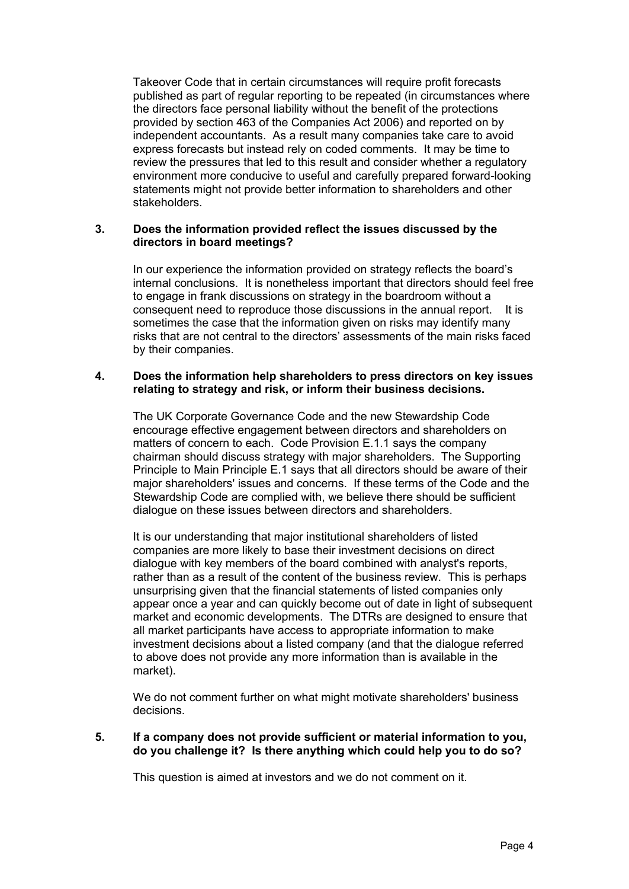Takeover Code that in certain circumstances will require profit forecasts published as part of regular reporting to be repeated (in circumstances where the directors face personal liability without the benefit of the protections provided by section 463 of the Companies Act 2006) and reported on by independent accountants. As a result many companies take care to avoid express forecasts but instead rely on coded comments. It may be time to review the pressures that led to this result and consider whether a regulatory environment more conducive to useful and carefully prepared forward-looking statements might not provide better information to shareholders and other stakeholders.

### **3. Does the information provided reflect the issues discussed by the directors in board meetings?**

In our experience the information provided on strategy reflects the board's internal conclusions. It is nonetheless important that directors should feel free to engage in frank discussions on strategy in the boardroom without a consequent need to reproduce those discussions in the annual report. It is sometimes the case that the information given on risks may identify many risks that are not central to the directors' assessments of the main risks faced by their companies.

### **4. Does the information help shareholders to press directors on key issues relating to strategy and risk, or inform their business decisions.**

The UK Corporate Governance Code and the new Stewardship Code encourage effective engagement between directors and shareholders on matters of concern to each. Code Provision E.1.1 says the company chairman should discuss strategy with major shareholders. The Supporting Principle to Main Principle E.1 says that all directors should be aware of their major shareholders' issues and concerns. If these terms of the Code and the Stewardship Code are complied with, we believe there should be sufficient dialogue on these issues between directors and shareholders.

It is our understanding that major institutional shareholders of listed companies are more likely to base their investment decisions on direct dialogue with key members of the board combined with analyst's reports, rather than as a result of the content of the business review. This is perhaps unsurprising given that the financial statements of listed companies only appear once a year and can quickly become out of date in light of subsequent market and economic developments. The DTRs are designed to ensure that all market participants have access to appropriate information to make investment decisions about a listed company (and that the dialogue referred to above does not provide any more information than is available in the market).

We do not comment further on what might motivate shareholders' business decisions.

### **5. If a company does not provide sufficient or material information to you, do you challenge it? Is there anything which could help you to do so?**

This question is aimed at investors and we do not comment on it.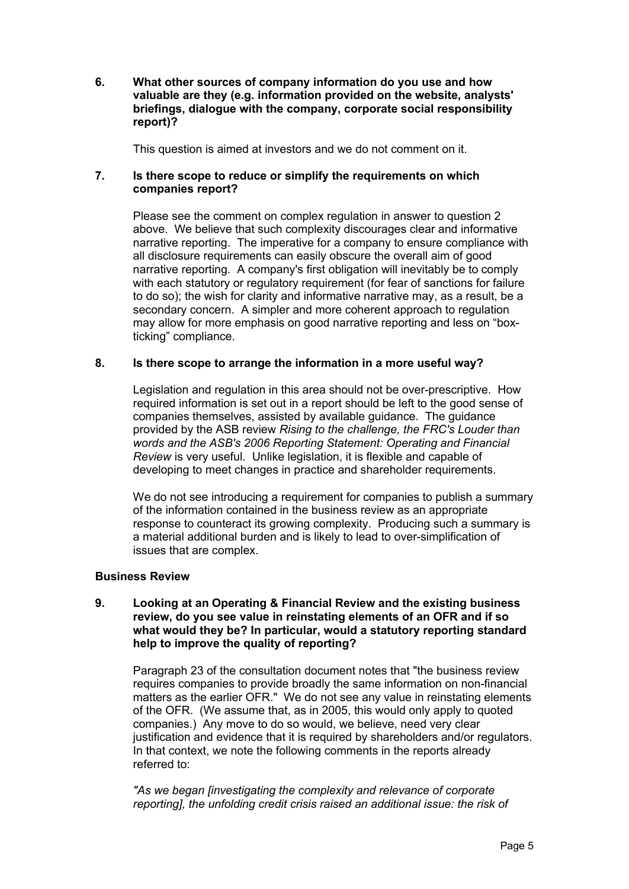**6. What other sources of company information do you use and how valuable are they (e.g. information provided on the website, analysts' briefings, dialogue with the company, corporate social responsibility report)?**

This question is aimed at investors and we do not comment on it.

# **7. Is there scope to reduce or simplify the requirements on which companies report?**

Please see the comment on complex regulation in answer to question 2 above. We believe that such complexity discourages clear and informative narrative reporting. The imperative for a company to ensure compliance with all disclosure requirements can easily obscure the overall aim of good narrative reporting. A company's first obligation will inevitably be to comply with each statutory or regulatory reguirement (for fear of sanctions for failure to do so); the wish for clarity and informative narrative may, as a result, be a secondary concern. A simpler and more coherent approach to regulation may allow for more emphasis on good narrative reporting and less on "boxticking" compliance.

# **8. Is there scope to arrange the information in a more useful way?**

Legislation and regulation in this area should not be over-prescriptive. How required information is set out in a report should be left to the good sense of companies themselves, assisted by available guidance. The guidance provided by the ASB review *Rising to the challenge, the FRC's Louder than words and the ASB's 2006 Reporting Statement: Operating and Financial Review* is very useful. Unlike legislation, it is flexible and capable of developing to meet changes in practice and shareholder requirements.

We do not see introducing a requirement for companies to publish a summary of the information contained in the business review as an appropriate response to counteract its growing complexity. Producing such a summary is a material additional burden and is likely to lead to over-simplification of issues that are complex.

#### **Business Review**

#### **9. Looking at an Operating & Financial Review and the existing business review, do you see value in reinstating elements of an OFR and if so what would they be? In particular, would a statutory reporting standard help to improve the quality of reporting?**

Paragraph 23 of the consultation document notes that "the business review requires companies to provide broadly the same information on non-financial matters as the earlier OFR." We do not see any value in reinstating elements of the OFR. (We assume that, as in 2005, this would only apply to quoted companies.) Any move to do so would, we believe, need very clear justification and evidence that it is required by shareholders and/or regulators. In that context, we note the following comments in the reports already referred to:

*"As we began [investigating the complexity and relevance of corporate reporting], the unfolding credit crisis raised an additional issue: the risk of*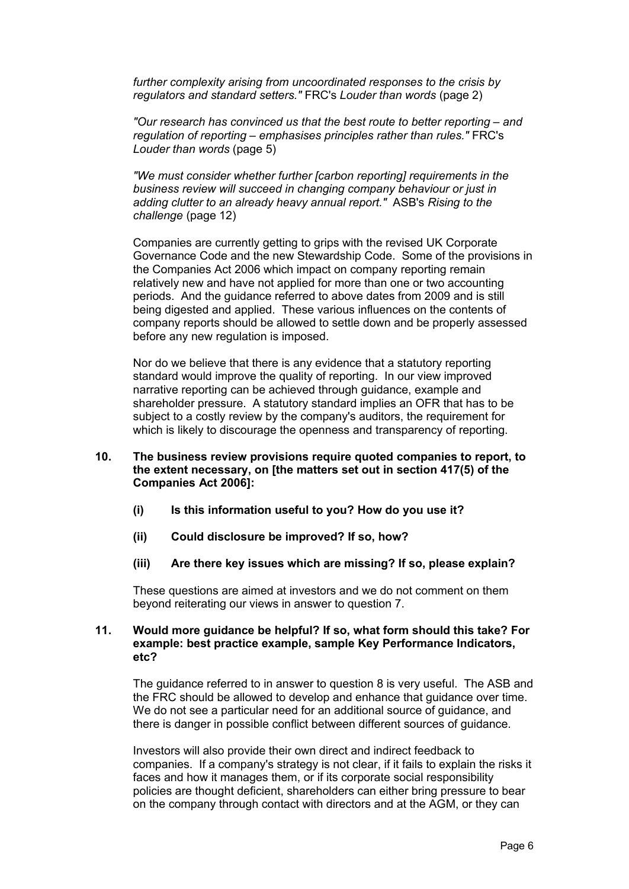*further complexity arising from uncoordinated responses to the crisis by regulators and standard setters."* FRC's *Louder than words* (page 2)

*"Our research has convinced us that the best route to better reporting – and regulation of reporting – emphasises principles rather than rules."* FRC's *Louder than words* (page 5)

*"We must consider whether further [carbon reporting] requirements in the business review will succeed in changing company behaviour or just in adding clutter to an already heavy annual report."* ASB's *Rising to the challenge* (page 12)

Companies are currently getting to grips with the revised UK Corporate Governance Code and the new Stewardship Code. Some of the provisions in the Companies Act 2006 which impact on company reporting remain relatively new and have not applied for more than one or two accounting periods. And the guidance referred to above dates from 2009 and is still being digested and applied. These various influences on the contents of company reports should be allowed to settle down and be properly assessed before any new regulation is imposed.

Nor do we believe that there is any evidence that a statutory reporting standard would improve the quality of reporting. In our view improved narrative reporting can be achieved through guidance, example and shareholder pressure. A statutory standard implies an OFR that has to be subject to a costly review by the company's auditors, the requirement for which is likely to discourage the openness and transparency of reporting.

- **10. The business review provisions require quoted companies to report, to the extent necessary, on [the matters set out in section 417(5) of the Companies Act 2006]:**
	- **(i) Is this information useful to you? How do you use it?**
	- **(ii) Could disclosure be improved? If so, how?**
	- **(iii) Are there key issues which are missing? If so, please explain?**

These questions are aimed at investors and we do not comment on them beyond reiterating our views in answer to question 7.

#### **11. Would more guidance be helpful? If so, what form should this take? For example: best practice example, sample Key Performance Indicators, etc?**

The guidance referred to in answer to question 8 is very useful. The ASB and the FRC should be allowed to develop and enhance that guidance over time. We do not see a particular need for an additional source of guidance, and there is danger in possible conflict between different sources of guidance.

Investors will also provide their own direct and indirect feedback to companies. If a company's strategy is not clear, if it fails to explain the risks it faces and how it manages them, or if its corporate social responsibility policies are thought deficient, shareholders can either bring pressure to bear on the company through contact with directors and at the AGM, or they can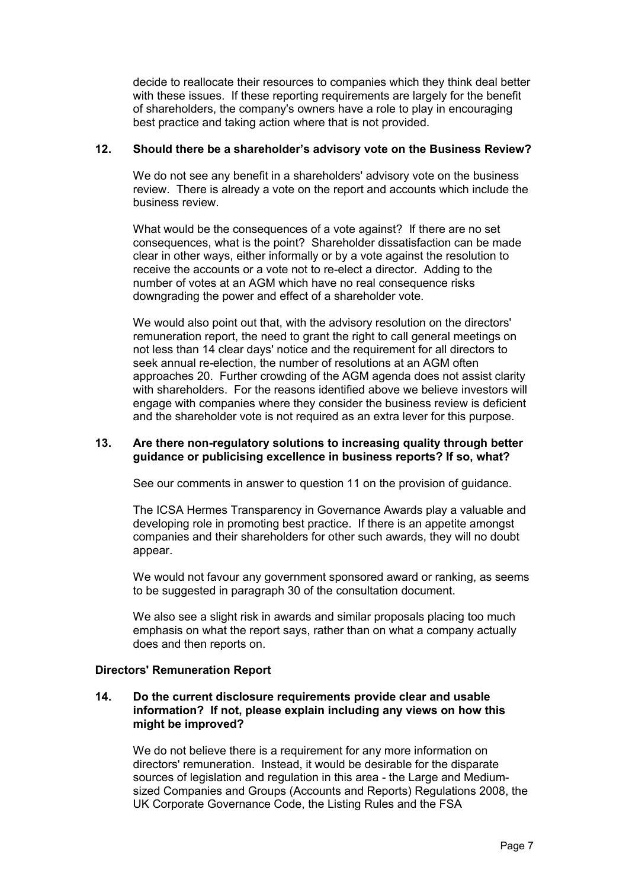decide to reallocate their resources to companies which they think deal better with these issues. If these reporting requirements are largely for the benefit of shareholders, the company's owners have a role to play in encouraging best practice and taking action where that is not provided.

### **12. Should there be a shareholder's advisory vote on the Business Review?**

We do not see any benefit in a shareholders' advisory vote on the business review. There is already a vote on the report and accounts which include the business review.

What would be the consequences of a vote against? If there are no set consequences, what is the point? Shareholder dissatisfaction can be made clear in other ways, either informally or by a vote against the resolution to receive the accounts or a vote not to re-elect a director. Adding to the number of votes at an AGM which have no real consequence risks downgrading the power and effect of a shareholder vote.

We would also point out that, with the advisory resolution on the directors' remuneration report, the need to grant the right to call general meetings on not less than 14 clear days' notice and the requirement for all directors to seek annual re-election, the number of resolutions at an AGM often approaches 20. Further crowding of the AGM agenda does not assist clarity with shareholders. For the reasons identified above we believe investors will engage with companies where they consider the business review is deficient and the shareholder vote is not required as an extra lever for this purpose.

## **13. Are there non-regulatory solutions to increasing quality through better guidance or publicising excellence in business reports? If so, what?**

See our comments in answer to question 11 on the provision of guidance.

The ICSA Hermes Transparency in Governance Awards play a valuable and developing role in promoting best practice. If there is an appetite amongst companies and their shareholders for other such awards, they will no doubt appear.

We would not favour any government sponsored award or ranking, as seems to be suggested in paragraph 30 of the consultation document.

We also see a slight risk in awards and similar proposals placing too much emphasis on what the report says, rather than on what a company actually does and then reports on.

# **Directors' Remuneration Report**

## **14. Do the current disclosure requirements provide clear and usable information? If not, please explain including any views on how this might be improved?**

We do not believe there is a requirement for any more information on directors' remuneration. Instead, it would be desirable for the disparate sources of legislation and regulation in this area - the Large and Mediumsized Companies and Groups (Accounts and Reports) Regulations 2008, the UK Corporate Governance Code, the Listing Rules and the FSA